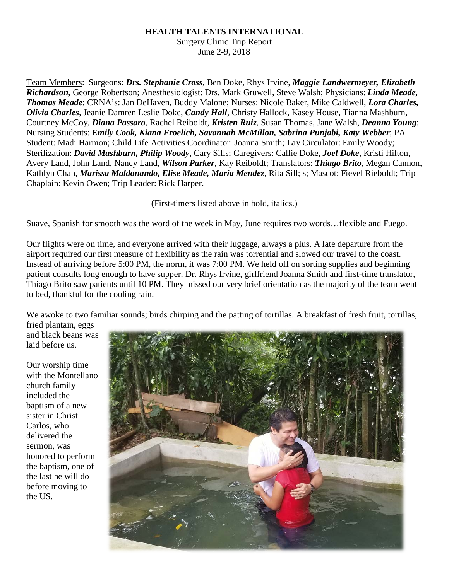## **HEALTH TALENTS INTERNATIONAL**

Surgery Clinic Trip Report June 2-9, 2018

Team Members: Surgeons: *Drs. Stephanie Cross*, Ben Doke, Rhys Irvine, *Maggie Landwermeyer, Elizabeth Richardson,* George Robertson; Anesthesiologist: Drs. Mark Gruwell, Steve Walsh; Physicians: *Linda Meade, Thomas Meade*; CRNA's: Jan DeHaven, Buddy Malone; Nurses: Nicole Baker, Mike Caldwell, *Lora Charles, Olivia Charles*, Jeanie Damren Leslie Doke, *Candy Hall*, Christy Hallock, Kasey House, Tianna Mashburn, Courtney McCoy, *Diana Passaro*, Rachel Reiboldt, *Kristen Ruiz*, Susan Thomas, Jane Walsh, *Deanna Young*; Nursing Students: *Emily Cook, Kiana Froelich, Savannah McMillon, Sabrina Punjabi, Katy Webber*; PA Student: Madi Harmon; Child Life Activities Coordinator: Joanna Smith; Lay Circulator: Emily Woody; Sterilization: *David Mashburn, Philip Woody*, Cary Sills; Caregivers: Callie Doke, *Joel Doke*, Kristi Hilton, Avery Land, John Land, Nancy Land, *Wilson Parker*, Kay Reiboldt; Translators: *Thiago Brito*, Megan Cannon, Kathlyn Chan, *Marissa Maldonando, Elise Meade, Maria Mendez*, Rita Sill; s; Mascot: Fievel Rieboldt; Trip Chaplain: Kevin Owen; Trip Leader: Rick Harper.

(First-timers listed above in bold, italics.)

Suave, Spanish for smooth was the word of the week in May, June requires two words…flexible and Fuego.

Our flights were on time, and everyone arrived with their luggage, always a plus. A late departure from the airport required our first measure of flexibility as the rain was torrential and slowed our travel to the coast. Instead of arriving before 5:00 PM, the norm, it was 7:00 PM. We held off on sorting supplies and beginning patient consults long enough to have supper. Dr. Rhys Irvine, girlfriend Joanna Smith and first-time translator, Thiago Brito saw patients until 10 PM. They missed our very brief orientation as the majority of the team went to bed, thankful for the cooling rain.

We awoke to two familiar sounds; birds chirping and the patting of tortillas. A breakfast of fresh fruit, tortillas,

fried plantain, eggs and black beans was laid before us.

Our worship time with the Montellano church family included the baptism of a new sister in Christ. Carlos, who delivered the sermon, was honored to perform the baptism, one of the last he will do before moving to the US.

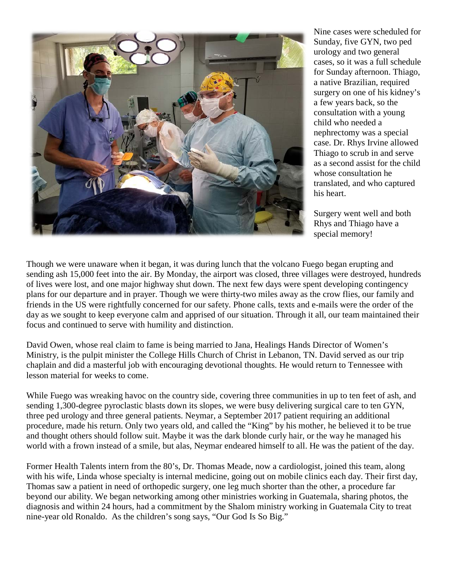

Nine cases were scheduled for Sunday, five GYN, two ped urology and two general cases, so it was a full schedule for Sunday afternoon. Thiago, a native Brazilian, required surgery on one of his kidney's a few years back, so the consultation with a young child who needed a nephrectomy was a special case. Dr. Rhys Irvine allowed Thiago to scrub in and serve as a second assist for the child whose consultation he translated, and who captured his heart.

Surgery went well and both Rhys and Thiago have a special memory!

Though we were unaware when it began, it was during lunch that the volcano Fuego began erupting and sending ash 15,000 feet into the air. By Monday, the airport was closed, three villages were destroyed, hundreds of lives were lost, and one major highway shut down. The next few days were spent developing contingency plans for our departure and in prayer. Though we were thirty-two miles away as the crow flies, our family and friends in the US were rightfully concerned for our safety. Phone calls, texts and e-mails were the order of the day as we sought to keep everyone calm and apprised of our situation. Through it all, our team maintained their focus and continued to serve with humility and distinction.

David Owen, whose real claim to fame is being married to Jana, Healings Hands Director of Women's Ministry, is the pulpit minister the College Hills Church of Christ in Lebanon, TN. David served as our trip chaplain and did a masterful job with encouraging devotional thoughts. He would return to Tennessee with lesson material for weeks to come.

While Fuego was wreaking havoc on the country side, covering three communities in up to ten feet of ash, and sending 1,300-degree pyroclastic blasts down its slopes, we were busy delivering surgical care to ten GYN, three ped urology and three general patients. Neymar, a September 2017 patient requiring an additional procedure, made his return. Only two years old, and called the "King" by his mother, he believed it to be true and thought others should follow suit. Maybe it was the dark blonde curly hair, or the way he managed his world with a frown instead of a smile, but alas, Neymar endeared himself to all. He was the patient of the day.

Former Health Talents intern from the 80's, Dr. Thomas Meade, now a cardiologist, joined this team, along with his wife, Linda whose specialty is internal medicine, going out on mobile clinics each day. Their first day, Thomas saw a patient in need of orthopedic surgery, one leg much shorter than the other, a procedure far beyond our ability. We began networking among other ministries working in Guatemala, sharing photos, the diagnosis and within 24 hours, had a commitment by the Shalom ministry working in Guatemala City to treat nine-year old Ronaldo. As the children's song says, "Our God Is So Big."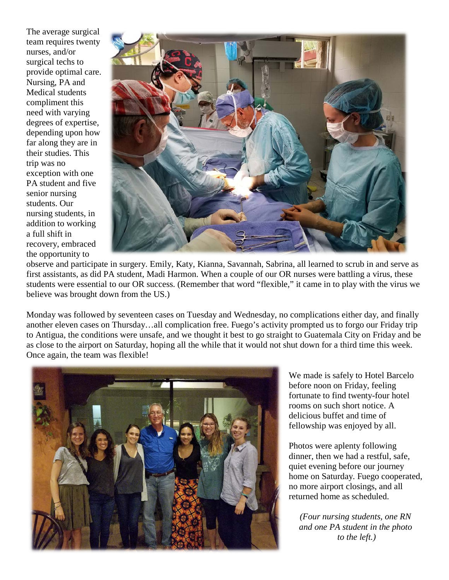The average surgical team requires twenty nurses, and/or surgical techs to provide optimal care. Nursing, PA and Medical students compliment this need with varying degrees of expertise, depending upon how far along they are in their studies. This trip was no exception with one PA student and five senior nursing students. Our nursing students, in addition to working a full shift in recovery, embraced the opportunity to



observe and participate in surgery. Emily, Katy, Kianna, Savannah, Sabrina, all learned to scrub in and serve as first assistants, as did PA student, Madi Harmon. When a couple of our OR nurses were battling a virus, these students were essential to our OR success. (Remember that word "flexible," it came in to play with the virus we believe was brought down from the US.)

Monday was followed by seventeen cases on Tuesday and Wednesday, no complications either day, and finally another eleven cases on Thursday…all complication free. Fuego's activity prompted us to forgo our Friday trip to Antigua, the conditions were unsafe, and we thought it best to go straight to Guatemala City on Friday and be as close to the airport on Saturday, hoping all the while that it would not shut down for a third time this week. Once again, the team was flexible!



We made is safely to Hotel Barcelo before noon on Friday, feeling fortunate to find twenty-four hotel rooms on such short notice. A delicious buffet and time of fellowship was enjoyed by all.

Photos were aplenty following dinner, then we had a restful, safe, quiet evening before our journey home on Saturday. Fuego cooperated, no more airport closings, and all returned home as scheduled.

*(Four nursing students, one RN and one PA student in the photo to the left.)*